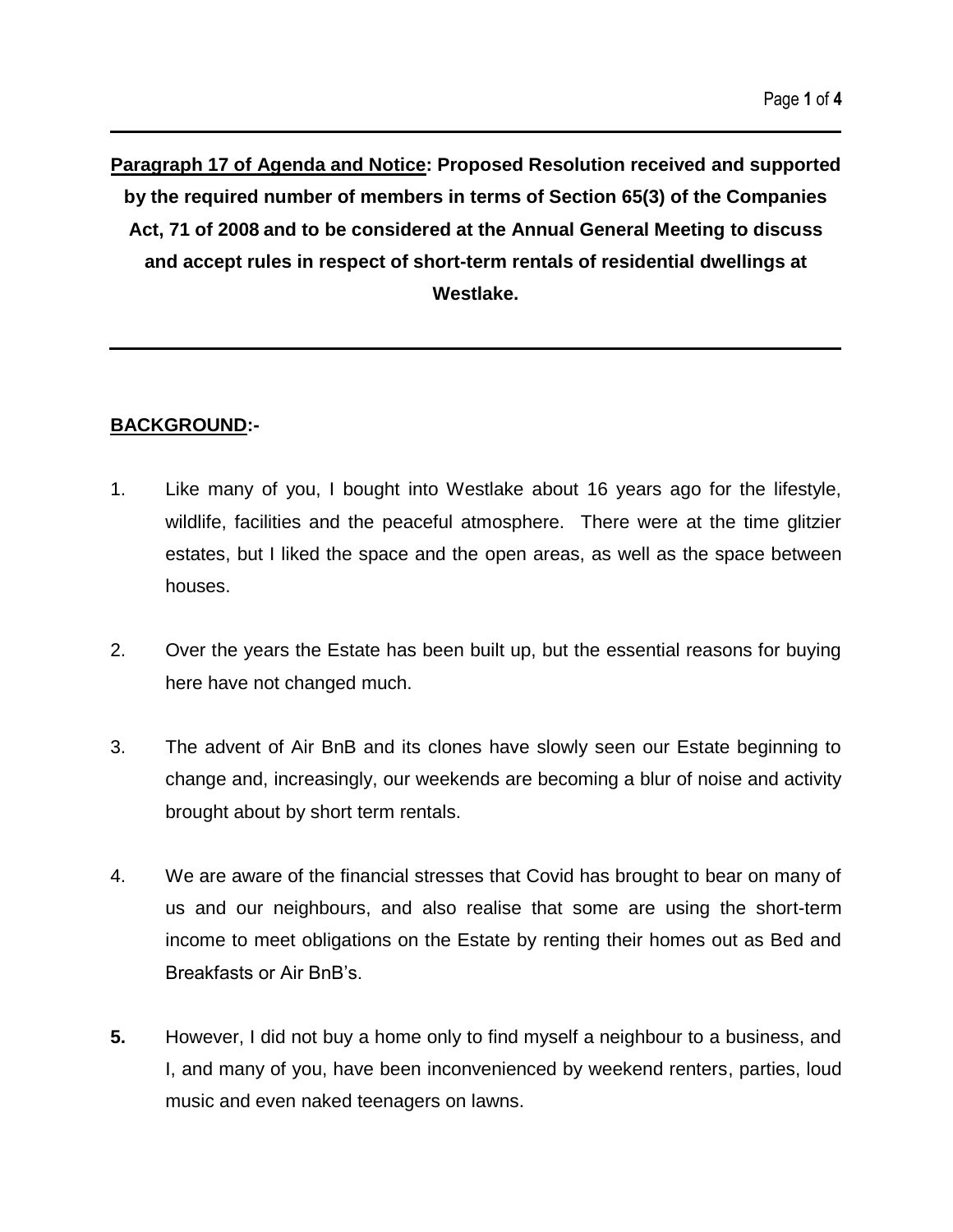**Paragraph 17 of Agenda and Notice: Proposed Resolution received and supported by the required number of members in terms of Section 65(3) of the Companies Act, 71 of 2008 and to be considered at the Annual General Meeting to discuss and accept rules in respect of short-term rentals of residential dwellings at Westlake.**

# **BACKGROUND:-**

- 1. Like many of you, I bought into Westlake about 16 years ago for the lifestyle, wildlife, facilities and the peaceful atmosphere. There were at the time glitzier estates, but I liked the space and the open areas, as well as the space between houses.
- 2. Over the years the Estate has been built up, but the essential reasons for buying here have not changed much.
- 3. The advent of Air BnB and its clones have slowly seen our Estate beginning to change and, increasingly, our weekends are becoming a blur of noise and activity brought about by short term rentals.
- 4. We are aware of the financial stresses that Covid has brought to bear on many of us and our neighbours, and also realise that some are using the short-term income to meet obligations on the Estate by renting their homes out as Bed and Breakfasts or Air BnB's.
- **5.** However, I did not buy a home only to find myself a neighbour to a business, and I, and many of you, have been inconvenienced by weekend renters, parties, loud music and even naked teenagers on lawns.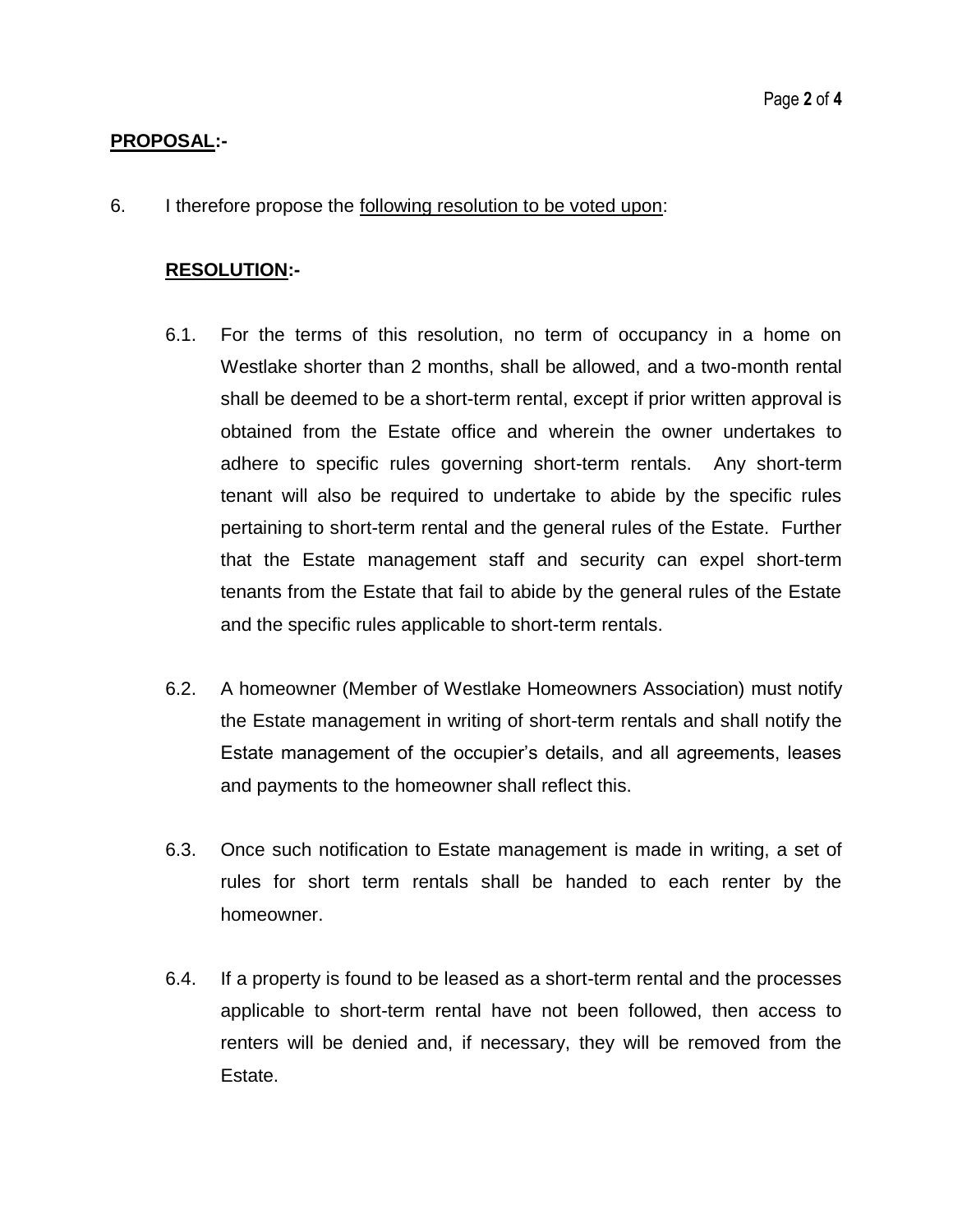#### **PROPOSAL:-**

6. I therefore propose the following resolution to be voted upon:

# **RESOLUTION:-**

- 6.1. For the terms of this resolution, no term of occupancy in a home on Westlake shorter than 2 months, shall be allowed, and a two-month rental shall be deemed to be a short-term rental, except if prior written approval is obtained from the Estate office and wherein the owner undertakes to adhere to specific rules governing short-term rentals. Any short-term tenant will also be required to undertake to abide by the specific rules pertaining to short-term rental and the general rules of the Estate. Further that the Estate management staff and security can expel short-term tenants from the Estate that fail to abide by the general rules of the Estate and the specific rules applicable to short-term rentals.
- 6.2. A homeowner (Member of Westlake Homeowners Association) must notify the Estate management in writing of short-term rentals and shall notify the Estate management of the occupier's details, and all agreements, leases and payments to the homeowner shall reflect this.
- 6.3. Once such notification to Estate management is made in writing, a set of rules for short term rentals shall be handed to each renter by the homeowner.
- 6.4. If a property is found to be leased as a short-term rental and the processes applicable to short-term rental have not been followed, then access to renters will be denied and, if necessary, they will be removed from the Estate.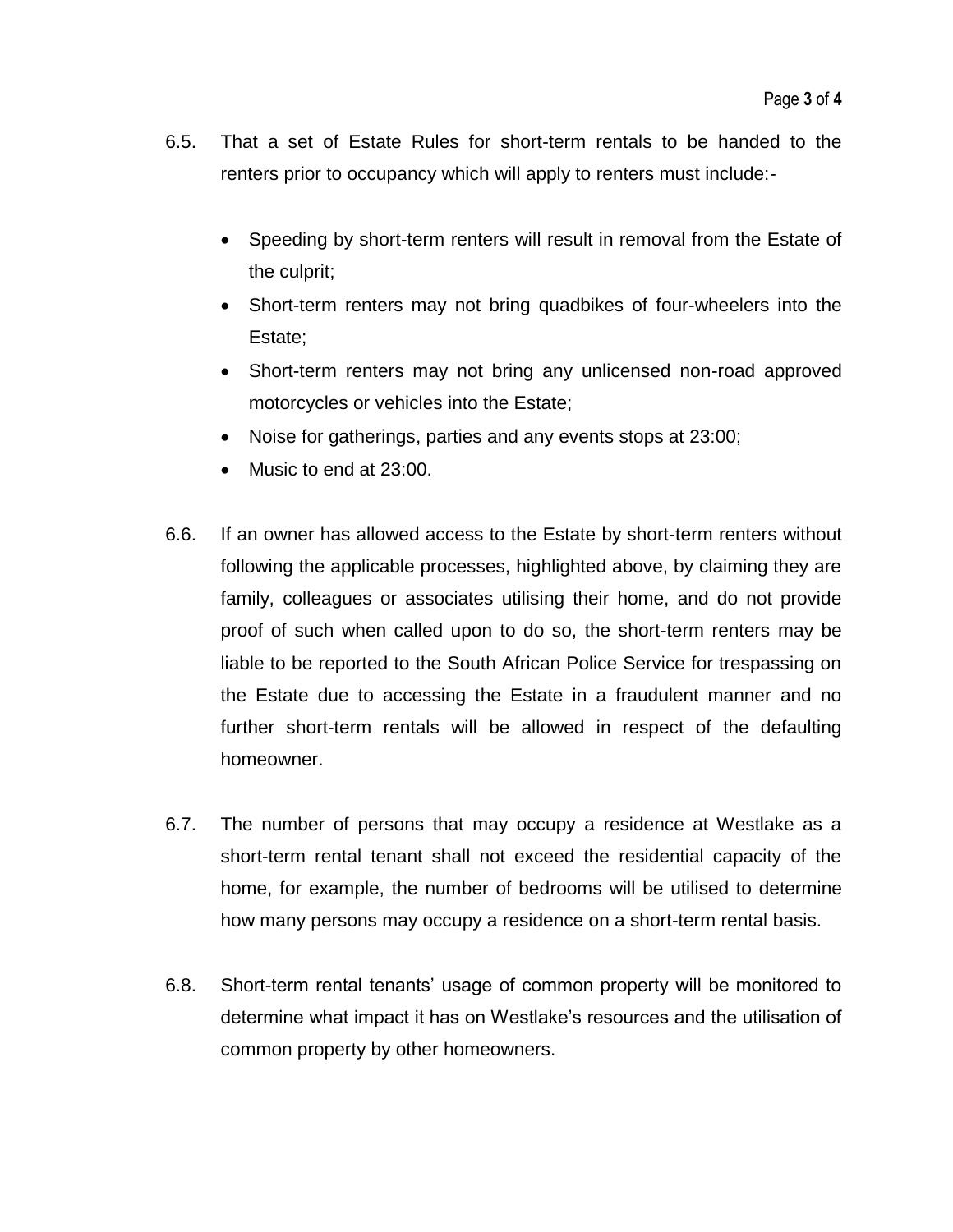- 6.5. That a set of Estate Rules for short-term rentals to be handed to the renters prior to occupancy which will apply to renters must include:-
	- Speeding by short-term renters will result in removal from the Estate of the culprit;
	- Short-term renters may not bring quadbikes of four-wheelers into the Estate;
	- Short-term renters may not bring any unlicensed non-road approved motorcycles or vehicles into the Estate;
	- Noise for gatherings, parties and any events stops at 23:00;
	- Music to end at 23:00.
- 6.6. If an owner has allowed access to the Estate by short-term renters without following the applicable processes, highlighted above, by claiming they are family, colleagues or associates utilising their home, and do not provide proof of such when called upon to do so, the short-term renters may be liable to be reported to the South African Police Service for trespassing on the Estate due to accessing the Estate in a fraudulent manner and no further short-term rentals will be allowed in respect of the defaulting homeowner.
- 6.7. The number of persons that may occupy a residence at Westlake as a short-term rental tenant shall not exceed the residential capacity of the home, for example, the number of bedrooms will be utilised to determine how many persons may occupy a residence on a short-term rental basis.
- 6.8. Short-term rental tenants' usage of common property will be monitored to determine what impact it has on Westlake's resources and the utilisation of common property by other homeowners.